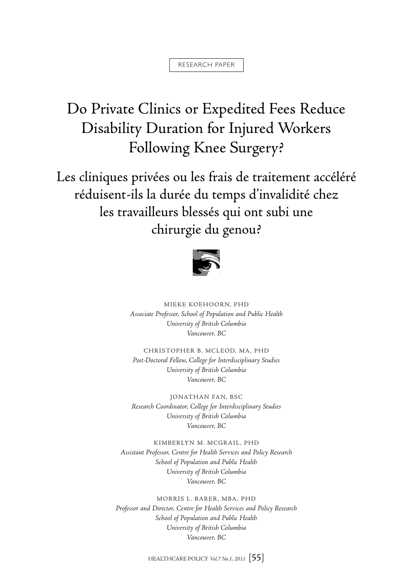#### research paper

# Do Private Clinics or Expedited Fees Reduce Disability Duration for Injured Workers Following Knee Surgery?

Les cliniques privées ou les frais de traitement accéléré réduisent-ils la durée du temps d'invalidité chez les travailleurs blessés qui ont subi une chirurgie du genou?



Mieke Koehoorn, PhD *Associate Professor, School of Population and Public Health University of British Columbia Vancouver, BC*

Christopher B. McLeod, MA, PhD *Post-Doctoral Fellow, College for Interdisciplinary Studies University of British Columbia Vancouver, BC*

Jonathan Fan, BSc *Research Coordinator, College for Interdisciplinary Studies University of British Columbia Vancouver, BC*

KIMBERLYN M. MCGRAIL, PHD *Assistant Professor, Centre for Health Services and Policy Research School of Population and Public Health University of British Columbia Vancouver, BC*

Morris L. Barer, MBA, PhD *Professor and Director, Centre for Health Services and Policy Research School of Population and Public Health University of British Columbia Vancouver, BC*

HEALTHCARE POLICY *Vol.7 No.1, 2011* [55]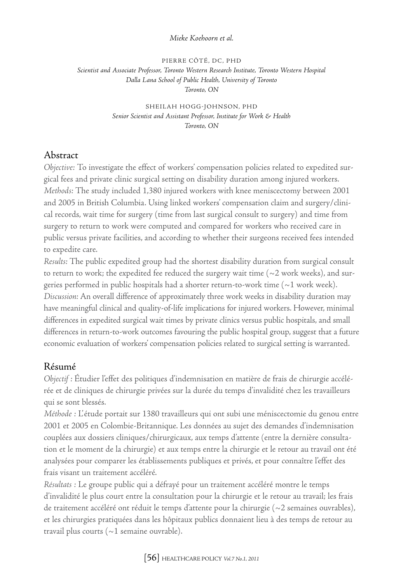#### *Mieke Koehoorn et al.*

Pierre Côté, DC, PhD *Scientist and Associate Professor, Toronto Western Research Institute, Toronto Western Hospital Dalla Lana School of Public Health, University of Toronto Toronto, ON*

> Sheilah Hogg-Johnson, PhD *Senior Scientist and Assistant Professor, Institute for Work & Health Toronto, ON*

# Abstract

*Objective:* To investigate the effect of workers' compensation policies related to expedited surgical fees and private clinic surgical setting on disability duration among injured workers. *Methods:* The study included 1,380 injured workers with knee meniscectomy between 2001 and 2005 in British Columbia. Using linked workers' compensation claim and surgery/clinical records, wait time for surgery (time from last surgical consult to surgery) and time from surgery to return to work were computed and compared for workers who received care in public versus private facilities, and according to whether their surgeons received fees intended to expedite care.

*Results:* The public expedited group had the shortest disability duration from surgical consult to return to work; the expedited fee reduced the surgery wait time ( $\sim$ 2 work weeks), and surgeries performed in public hospitals had a shorter return-to-work time (~1 work week). *Discussion:* An overall difference of approximately three work weeks in disability duration may have meaningful clinical and quality-of-life implications for injured workers. However, minimal differences in expedited surgical wait times by private clinics versus public hospitals, and small differences in return-to-work outcomes favouring the public hospital group, suggest that a future economic evaluation of workers' compensation policies related to surgical setting is warranted.

# Résumé

*Objectif :* Étudier l'effet des politiques d'indemnisation en matière de frais de chirurgie accélérée et de cliniques de chirurgie privées sur la durée du temps d'invalidité chez les travailleurs qui se sont blessés.

*Méthode :* L'étude portait sur 1380 travailleurs qui ont subi une méniscectomie du genou entre 2001 et 2005 en Colombie-Britannique. Les données au sujet des demandes d'indemnisation couplées aux dossiers cliniques/chirurgicaux, aux temps d'attente (entre la dernière consultation et le moment de la chirurgie) et aux temps entre la chirurgie et le retour au travail ont été analysées pour comparer les établissements publiques et privés, et pour connaître l'effet des frais visant un traitement accéléré.

*Résultats :* Le groupe public qui a défrayé pour un traitement accéléré montre le temps d'invalidité le plus court entre la consultation pour la chirurgie et le retour au travail; les frais de traitement accéléré ont réduit le temps d'attente pour la chirurgie (~2 semaines ouvrables), et les chirurgies pratiquées dans les hôpitaux publics donnaient lieu à des temps de retour au travail plus courts ( $\sim$ 1 semaine ouvrable).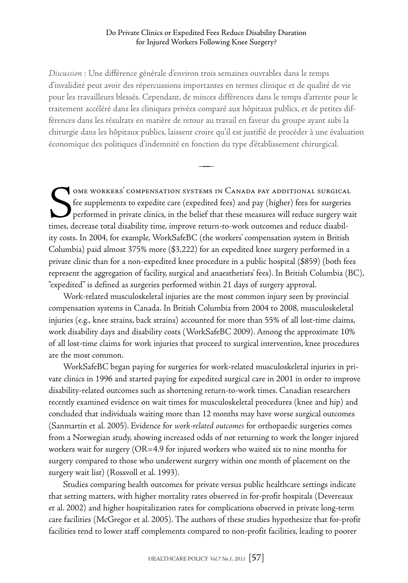*Discussion :* Une différence générale d'environ trois semaines ouvrables dans le temps d'invalidité peut avoir des répercussions importantes en termes clinique et de qualité de vie pour les travailleurs blessés. Cependant, de minces différences dans le temps d'attente pour le traitement accéléré dans les cliniques privées comparé aux hôpitaux publics, et de petites différences dans les résultats en matière de retour au travail en faveur du groupe ayant subi la chirurgie dans les hôpitaux publics, laissent croire qu'il est justifié de procéder à une évaluation économique des politiques d'indemnité en fonction du type d'établissement chirurgical.

 $\overline{\phantom{a}}$ 

SOME WORKERS' COMPENSATION SYSTEMS IN CANADA PAY ADDITIONAL SURGICAL<br>fee supplements to expedite care (expedited fees) and pay (higher) fees for surgeries<br>performed in private clinics, in the belief that these measures wil fee supplements to expedite care (expedited fees) and pay (higher) fees for surgeries performed in private clinics, in the belief that these measures will reduce surgery wait times, decrease total disability time, improve return-to-work outcomes and reduce disability costs. In 2004, for example, WorkSafeBC (the workers' compensation system in British Columbia) paid almost 375% more (\$3,222) for an expedited knee surgery performed in a private clinic than for a non-expedited knee procedure in a public hospital (\$859) (both fees represent the aggregation of facility, surgical and anaesthetists' fees). In British Columbia (BC), "expedited" is defined as surgeries performed within 21 days of surgery approval.

Work-related musculoskeletal injuries are the most common injury seen by provincial compensation systems in Canada. In British Columbia from 2004 to 2008, musculoskeletal injuries (e.g., knee strains, back strains) accounted for more than 55% of all lost-time claims, work disability days and disability costs (WorkSafeBC 2009). Among the approximate 10% of all lost-time claims for work injuries that proceed to surgical intervention, knee procedures are the most common.

WorkSafeBC began paying for surgeries for work-related musculoskeletal injuries in private clinics in 1996 and started paying for expedited surgical care in 2001 in order to improve disability-related outcomes such as shortening return-to-work times. Canadian researchers recently examined evidence on wait times for musculoskeletal procedures (knee and hip) and concluded that individuals waiting more than 12 months may have worse surgical outcomes (Sanmartin et al. 2005). Evidence for *work-related outcomes* for orthopaedic surgeries comes from a Norwegian study, showing increased odds of not returning to work the longer injured workers wait for surgery (OR=4.9 for injured workers who waited six to nine months for surgery compared to those who underwent surgery within one month of placement on the surgery wait list) (Rossvoll et al. 1993).

Studies comparing health outcomes for private versus public healthcare settings indicate that setting matters, with higher mortality rates observed in for-profit hospitals (Devereaux et al. 2002) and higher hospitalization rates for complications observed in private long-term care facilities (McGregor et al. 2005). The authors of these studies hypothesize that for-profit facilities tend to lower staff complements compared to non-profit facilities, leading to poorer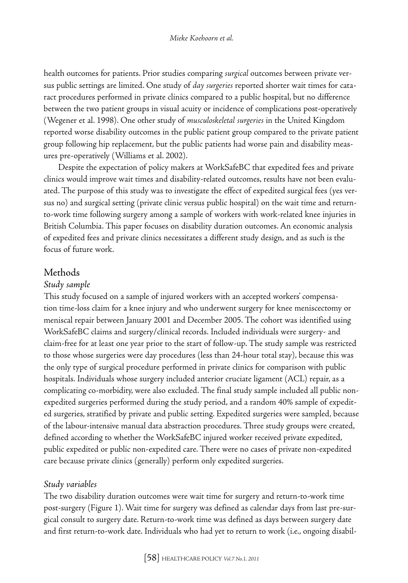health outcomes for patients. Prior studies comparing *surgical* outcomes between private versus public settings are limited. One study of *day surgeries* reported shorter wait times for cataract procedures performed in private clinics compared to a public hospital, but no difference between the two patient groups in visual acuity or incidence of complications post-operatively (Wegener et al. 1998). One other study of *musculoskeletal surgeries* in the United Kingdom reported worse disability outcomes in the public patient group compared to the private patient group following hip replacement, but the public patients had worse pain and disability measures pre-operatively (Williams et al. 2002).

Despite the expectation of policy makers at WorkSafeBC that expedited fees and private clinics would improve wait times and disability-related outcomes, results have not been evaluated. The purpose of this study was to investigate the effect of expedited surgical fees (yes versus no) and surgical setting (private clinic versus public hospital) on the wait time and returnto-work time following surgery among a sample of workers with work-related knee injuries in British Columbia. This paper focuses on disability duration outcomes. An economic analysis of expedited fees and private clinics necessitates a different study design, and as such is the focus of future work.

# Methods

### *Study sample*

This study focused on a sample of injured workers with an accepted workers' compensation time-loss claim for a knee injury and who underwent surgery for knee meniscectomy or meniscal repair between January 2001 and December 2005. The cohort was identified using WorkSafeBC claims and surgery/clinical records. Included individuals were surgery- and claim-free for at least one year prior to the start of follow-up. The study sample was restricted to those whose surgeries were day procedures (less than 24-hour total stay), because this was the only type of surgical procedure performed in private clinics for comparison with public hospitals. Individuals whose surgery included anterior cruciate ligament (ACL) repair, as a complicating co-morbidity, were also excluded. The final study sample included all public nonexpedited surgeries performed during the study period, and a random 40% sample of expedited surgeries, stratified by private and public setting. Expedited surgeries were sampled, because of the labour-intensive manual data abstraction procedures. Three study groups were created, defined according to whether the WorkSafeBC injured worker received private expedited, public expedited or public non-expedited care. There were no cases of private non-expedited care because private clinics (generally) perform only expedited surgeries.

## *Study variables*

The two disability duration outcomes were wait time for surgery and return-to-work time post-surgery (Figure 1). Wait time for surgery was defined as calendar days from last pre-surgical consult to surgery date. Return-to-work time was defined as days between surgery date and first return-to-work date. Individuals who had yet to return to work (i.e., ongoing disabil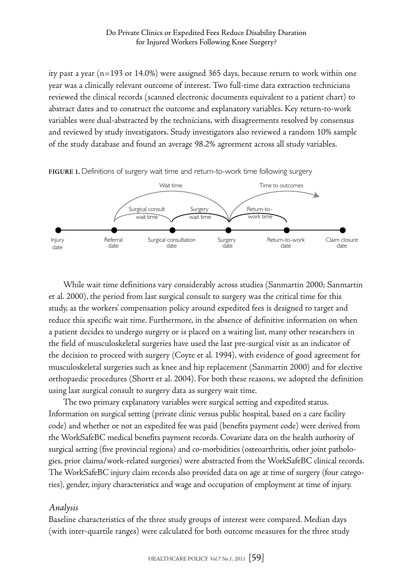ity past a year (n=193 or 14.0%) were assigned 365 days, because return to work within one year was a clinically relevant outcome of interest. Two full-time data extraction technicians reviewed the clinical records (scanned electronic documents equivalent to a patient chart) to abstract dates and to construct the outcome and explanatory variables. Key return-to-work variables were dual-abstracted by the technicians, with disagreements resolved by consensus and reviewed by study investigators. Study investigators also reviewed a random 10% sample of the study database and found an average 98.2% agreement across all study variables.



**Figure 1.** Definitions of surgery wait time and return-to-work time following surgery

While wait time definitions vary considerably across studies (Sanmartin 2000; Sanmartin et al. 2000), the period from last surgical consult to surgery was the critical time for this study, as the workers' compensation policy around expedited fees is designed to target and reduce this specific wait time. Furthermore, in the absence of definitive information on when a patient decides to undergo surgery or is placed on a waiting list, many other researchers in the field of musculoskeletal surgeries have used the last pre-surgical visit as an indicator of the decision to proceed with surgery (Coyte et al. 1994), with evidence of good agreement for musculoskeletal surgeries such as knee and hip replacement (Sanmartin 2000) and for elective orthopaedic procedures (Shortt et al. 2004). For both these reasons, we adopted the definition using last surgical consult to surgery data as surgery wait time.

The two primary explanatory variables were surgical setting and expedited status. Information on surgical setting (private clinic versus public hospital, based on a care facility code) and whether or not an expedited fee was paid (benefits payment code) were derived from the WorkSafeBC medical benefits payment records. Covariate data on the health authority of surgical setting (five provincial regions) and co-morbidities (osteoarthritis, other joint pathologies, prior claims/work-related surgeries) were abstracted from the WorkSafeBC clinical records. The WorkSafeBC injury claim records also provided data on age at time of surgery (four categories), gender, injury characteristics and wage and occupation of employment at time of injury.

## *Analysis*

Baseline characteristics of the three study groups of interest were compared. Median days (with inter-quartile ranges) were calculated for both outcome measures for the three study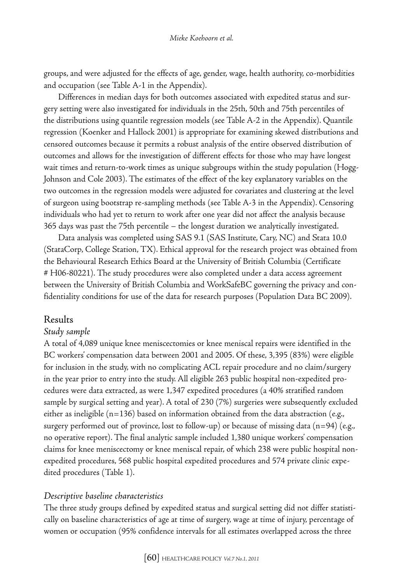groups, and were adjusted for the effects of age, gender, wage, health authority, co-morbidities and occupation (see Table A-1 in the Appendix).

Differences in median days for both outcomes associated with expedited status and surgery setting were also investigated for individuals in the 25th, 50th and 75th percentiles of the distributions using quantile regression models (see Table A-2 in the Appendix). Quantile regression (Koenker and Hallock 2001) is appropriate for examining skewed distributions and censored outcomes because it permits a robust analysis of the entire observed distribution of outcomes and allows for the investigation of different effects for those who may have longest wait times and return-to-work times as unique subgroups within the study population (Hogg-Johnson and Cole 2003). The estimates of the effect of the key explanatory variables on the two outcomes in the regression models were adjusted for covariates and clustering at the level of surgeon using bootstrap re-sampling methods (see Table A-3 in the Appendix). Censoring individuals who had yet to return to work after one year did not affect the analysis because 365 days was past the 75th percentile – the longest duration we analytically investigated.

Data analysis was completed using SAS 9.1 (SAS Institute, Cary, NC) and Stata 10.0 (StataCorp, College Station, TX). Ethical approval for the research project was obtained from the Behavioural Research Ethics Board at the University of British Columbia (Certificate # H06-80221). The study procedures were also completed under a data access agreement between the University of British Columbia and WorkSafeBC governing the privacy and confidentiality conditions for use of the data for research purposes (Population Data BC 2009).

#### Results

#### *Study sample*

A total of 4,089 unique knee meniscectomies or knee meniscal repairs were identified in the BC workers' compensation data between 2001 and 2005. Of these, 3,395 (83%) were eligible for inclusion in the study, with no complicating ACL repair procedure and no claim/surgery in the year prior to entry into the study. All eligible 263 public hospital non-expedited procedures were data extracted, as were 1,347 expedited procedures (a 40% stratified random sample by surgical setting and year). A total of 230 (7%) surgeries were subsequently excluded either as ineligible ( $n=136$ ) based on information obtained from the data abstraction (e.g., surgery performed out of province, lost to follow-up) or because of missing data ( $n=94$ ) (e.g., no operative report). The final analytic sample included 1,380 unique workers' compensation claims for knee meniscectomy or knee meniscal repair, of which 238 were public hospital nonexpedited procedures, 568 public hospital expedited procedures and 574 private clinic expedited procedures (Table 1).

#### *Descriptive baseline characteristics*

The three study groups defined by expedited status and surgical setting did not differ statistically on baseline characteristics of age at time of surgery, wage at time of injury, percentage of women or occupation (95% confidence intervals for all estimates overlapped across the three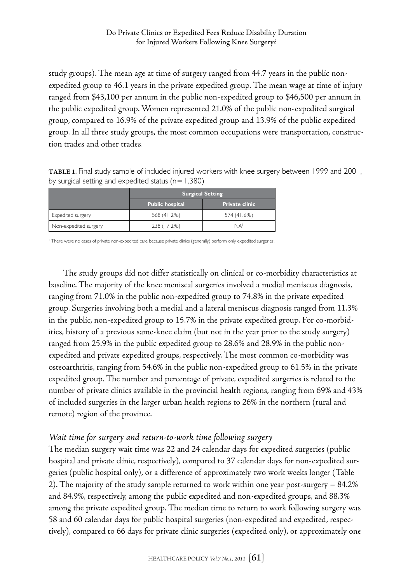study groups). The mean age at time of surgery ranged from 44.7 years in the public nonexpedited group to 46.1 years in the private expedited group. The mean wage at time of injury ranged from \$43,100 per annum in the public non-expedited group to \$46,500 per annum in the public expedited group. Women represented 21.0% of the public non-expedited surgical group, compared to 16.9% of the private expedited group and 13.9% of the public expedited group. In all three study groups, the most common occupations were transportation, construction trades and other trades.

**Table 1.** Final study sample of included injured workers with knee surgery between 1999 and 2001, by surgical setting and expedited status ( $n=1,380$ )

|                       | <b>Surgical Setting</b> |                       |  |  |
|-----------------------|-------------------------|-----------------------|--|--|
|                       | <b>Public hospital</b>  | <b>Private clinic</b> |  |  |
| Expedited surgery     | 568 (41.2%)             | 574 (41.6%)           |  |  |
| Non-expedited surgery | 238 (17.2%)             | NA'                   |  |  |

<sup>1</sup> There were no cases of private non-expedited care because private clinics (generally) perform only expedited surgeries.

The study groups did not differ statistically on clinical or co-morbidity characteristics at baseline. The majority of the knee meniscal surgeries involved a medial meniscus diagnosis, ranging from 71.0% in the public non-expedited group to 74.8% in the private expedited group. Surgeries involving both a medial and a lateral meniscus diagnosis ranged from 11.3% in the public, non-expedited group to 15.7% in the private expedited group. For co-morbidities, history of a previous same-knee claim (but not in the year prior to the study surgery) ranged from 25.9% in the public expedited group to 28.6% and 28.9% in the public nonexpedited and private expedited groups, respectively. The most common co-morbidity was osteoarthritis, ranging from 54.6% in the public non-expedited group to 61.5% in the private expedited group. The number and percentage of private, expedited surgeries is related to the number of private clinics available in the provincial health regions, ranging from 69% and 43% of included surgeries in the larger urban health regions to 26% in the northern (rural and remote) region of the province.

## *Wait time for surgery and return-to-work time following surgery*

The median surgery wait time was 22 and 24 calendar days for expedited surgeries (public hospital and private clinic, respectively), compared to 37 calendar days for non-expedited surgeries (public hospital only), or a difference of approximately two work weeks longer (Table 2). The majority of the study sample returned to work within one year post-surgery – 84.2% and 84.9%, respectively, among the public expedited and non-expedited groups, and 88.3% among the private expedited group. The median time to return to work following surgery was 58 and 60 calendar days for public hospital surgeries (non-expedited and expedited, respectively), compared to 66 days for private clinic surgeries (expedited only), or approximately one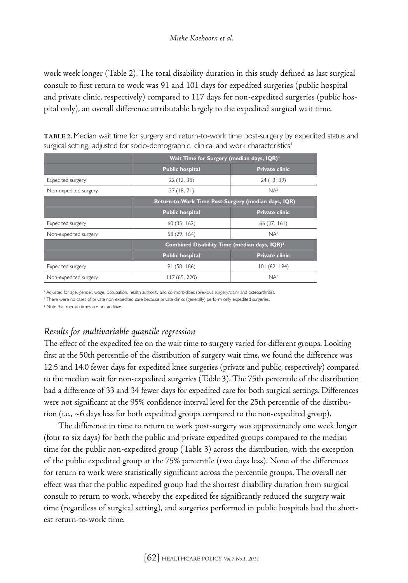work week longer (Table 2). The total disability duration in this study defined as last surgical consult to first return to work was 91 and 101 days for expedited surgeries (public hospital and private clinic, respectively) compared to 117 days for non-expedited surgeries (public hospital only), an overall difference attributable largely to the expedited surgical wait time.

|                       | Wait Time for Surgery (median days, IQR) <sup>3</sup>    |                       |  |  |
|-----------------------|----------------------------------------------------------|-----------------------|--|--|
|                       | <b>Public hospital</b>                                   | <b>Private clinic</b> |  |  |
| Expedited surgery     | 22(12, 38)                                               | 24 (13, 39)           |  |  |
| Non-expedited surgery | 37(18, 71)                                               | NA <sup>2</sup>       |  |  |
|                       | Return-to-Work Time Post-Surgery (median days, IQR)      |                       |  |  |
|                       | <b>Public hospital</b>                                   | <b>Private clinic</b> |  |  |
| Expedited surgery     | 60(35, 162)                                              | 66(37, 161)           |  |  |
| Non-expedited surgery | 58 (29, 164)                                             | NA <sup>2</sup>       |  |  |
|                       | Combined Disability Time (median days, IQR) <sup>3</sup> |                       |  |  |
|                       | <b>Public hospital</b>                                   | <b>Private clinic</b> |  |  |
| Expedited surgery     | 91(58, 186)                                              | 101(62, 194)          |  |  |
| Non-expedited surgery | 117(65, 220)                                             | NA <sup>2</sup>       |  |  |

**Table 2.** Median wait time for surgery and return-to-work time post-surgery by expedited status and surgical setting, adjusted for socio-demographic, clinical and work characteristics<sup>1</sup>

<sup>1</sup> Adjusted for age, gender, wage, occupation, health authority and co-morbidities (previous surgery/claim and osteoarthritis).

<sup>2</sup> There were no cases of private non-expedited care because private clinics (generally) perform only expedited surgeries.

<sup>3</sup> Note that median times are not additive.

## *Results for multivariable quantile regression*

The effect of the expedited fee on the wait time to surgery varied for different groups. Looking first at the 50th percentile of the distribution of surgery wait time, we found the difference was 12.5 and 14.0 fewer days for expedited knee surgeries (private and public, respectively) compared to the median wait for non-expedited surgeries (Table 3). The 75th percentile of the distribution had a difference of 33 and 34 fewer days for expedited care for both surgical settings. Differences were not significant at the 95% confidence interval level for the 25th percentile of the distribution (i.e.,  $\sim$  6 days less for both expedited groups compared to the non-expedited group).

The difference in time to return to work post-surgery was approximately one week longer (four to six days) for both the public and private expedited groups compared to the median time for the public non-expedited group (Table 3) across the distribution, with the exception of the public expedited group at the 75% percentile (two days less). None of the differences for return to work were statistically significant across the percentile groups. The overall net effect was that the public expedited group had the shortest disability duration from surgical consult to return to work, whereby the expedited fee significantly reduced the surgery wait time (regardless of surgical setting), and surgeries performed in public hospitals had the shortest return-to-work time.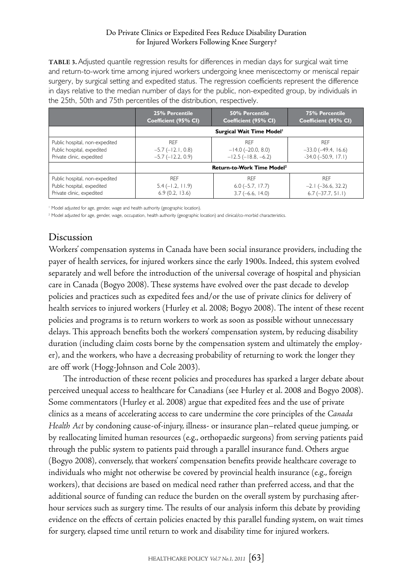**Table 3.** Adjusted quantile regression results for differences in median days for surgical wait time and return-to-work time among injured workers undergoing knee meniscectomy or meniscal repair surgery, by surgical setting and expedited status. The regression coefficients represent the difference in days relative to the median number of days for the public, non-expedited group, by individuals in the 25th, 50th and 75th percentiles of the distribution, respectively.

|                                                                                                                                                               | 25% Percentile<br>Coefficient (95% CI)             | 50% Percentile<br>Coefficient (95% CI)                              | <b>75% Percentile</b><br>Coefficient (95% CI)                      |  |  |
|---------------------------------------------------------------------------------------------------------------------------------------------------------------|----------------------------------------------------|---------------------------------------------------------------------|--------------------------------------------------------------------|--|--|
|                                                                                                                                                               | Surgical Wait Time Model <sup>1</sup>              |                                                                     |                                                                    |  |  |
| <b>RFF</b><br>Public hospital, non-expedited<br>Public hospital, expedited<br>$-5.7$ ( $-12.1$ , 0.8)<br>Private clinic, expedited<br>$-5.7$ ( $-12.2$ , 0.9) |                                                    | <b>RFF</b><br>$-14.0$ ( $-20.0$ , 8.0)<br>$-12.5$ ( $-18.8, -6.2$ ) | <b>RFF</b><br>$-33.0$ ( $-49.4$ , 16.6)<br>$-34.0$ $(-50.9, 17.1)$ |  |  |
|                                                                                                                                                               | Return-to-Work Time Model <sup>2</sup>             |                                                                     |                                                                    |  |  |
| Public hospital, non-expedited<br>Public hospital, expedited<br>Private clinic, expedited                                                                     | <b>RFF</b><br>$5.4 (-1.2, 11.9)$<br>6.9(0.2, 13.6) |                                                                     | <b>RFF</b><br>$-2.1$ ( $-36.6$ , 32.2)<br>$6.7(-37.7, 51.1)$       |  |  |

<sup>1</sup> Model adjusted for age, gender, wage and health authority (geographic location).

<sup>2</sup> Model adjusted for age, gender, wage, occupation, health authority (geographic location) and clinical/co-morbid characteristics.

# Discussion

Workers' compensation systems in Canada have been social insurance providers, including the payer of health services, for injured workers since the early 1900s. Indeed, this system evolved separately and well before the introduction of the universal coverage of hospital and physician care in Canada (Bogyo 2008). These systems have evolved over the past decade to develop policies and practices such as expedited fees and/or the use of private clinics for delivery of health services to injured workers (Hurley et al. 2008; Bogyo 2008). The intent of these recent policies and programs is to return workers to work as soon as possible without unnecessary delays. This approach benefits both the workers' compensation system, by reducing disability duration (including claim costs borne by the compensation system and ultimately the employer), and the workers, who have a decreasing probability of returning to work the longer they are off work (Hogg-Johnson and Cole 2003).

The introduction of these recent policies and procedures has sparked a larger debate about perceived unequal access to healthcare for Canadians (see Hurley et al. 2008 and Bogyo 2008). Some commentators (Hurley et al. 2008) argue that expedited fees and the use of private clinics as a means of accelerating access to care undermine the core principles of the *Canada Health Act* by condoning cause-of-injury, illness- or insurance plan–related queue jumping, or by reallocating limited human resources (e.g., orthopaedic surgeons) from serving patients paid through the public system to patients paid through a parallel insurance fund. Others argue (Bogyo 2008), conversely, that workers' compensation benefits provide healthcare coverage to individuals who might not otherwise be covered by provincial health insurance (e.g., foreign workers), that decisions are based on medical need rather than preferred access, and that the additional source of funding can reduce the burden on the overall system by purchasing afterhour services such as surgery time. The results of our analysis inform this debate by providing evidence on the effects of certain policies enacted by this parallel funding system, on wait times for surgery, elapsed time until return to work and disability time for injured workers.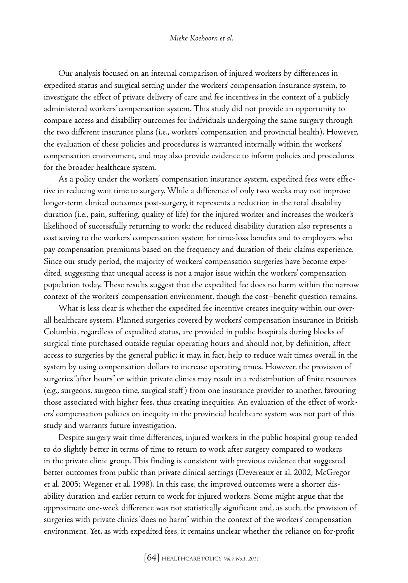Our analysis focused on an internal comparison of injured workers by differences in expedited status and surgical setting under the workers' compensation insurance system, to investigate the effect of private delivery of care and fee incentives in the context of a publicly administered workers' compensation system. This study did not provide an opportunity to compare access and disability outcomes for individuals undergoing the same surgery through the two different insurance plans (i.e., workers' compensation and provincial health). However, the evaluation of these policies and procedures is warranted internally within the workers' compensation environment, and may also provide evidence to inform policies and procedures for the broader healthcare system.

As a policy under the workers' compensation insurance system, expedited fees were effective in reducing wait time to surgery. While a difference of only two weeks may not improve longer-term clinical outcomes post-surgery, it represents a reduction in the total disability duration (i.e., pain, suffering, quality of life) for the injured worker and increases the worker's likelihood of successfully returning to work; the reduced disability duration also represents a cost saving to the workers' compensation system for time-loss benefits and to employers who pay compensation premiums based on the frequency and duration of their claims experience. Since our study period, the majority of workers' compensation surgeries have become expedited, suggesting that unequal access is not a major issue within the workers' compensation population today. These results suggest that the expedited fee does no harm within the narrow context of the workers' compensation environment, though the cost–benefit question remains.

What is less clear is whether the expedited fee incentive creates inequity within our overall healthcare system. Planned surgeries covered by workers' compensation insurance in British Columbia, regardless of expedited status, are provided in public hospitals during blocks of surgical time purchased outside regular operating hours and should not, by definition, affect access to surgeries by the general public; it may, in fact, help to reduce wait times overall in the system by using compensation dollars to increase operating times. However, the provision of surgeries "after hours" or within private clinics may result in a redistribution of finite resources (e.g., surgeons, surgeon time, surgical staff ) from one insurance provider to another, favouring those associated with higher fees, thus creating inequities. An evaluation of the effect of workers' compensation policies on inequity in the provincial healthcare system was not part of this study and warrants future investigation.

Despite surgery wait time differences, injured workers in the public hospital group tended to do slightly better in terms of time to return to work after surgery compared to workers in the private clinic group. This finding is consistent with previous evidence that suggested better outcomes from public than private clinical settings (Devereaux et al. 2002; McGregor et al. 2005; Wegener et al. 1998). In this case, the improved outcomes were a shorter disability duration and earlier return to work for injured workers. Some might argue that the approximate one-week difference was not statistically significant and, as such, the provision of surgeries with private clinics "does no harm" within the context of the workers' compensation environment. Yet, as with expedited fees, it remains unclear whether the reliance on for-profit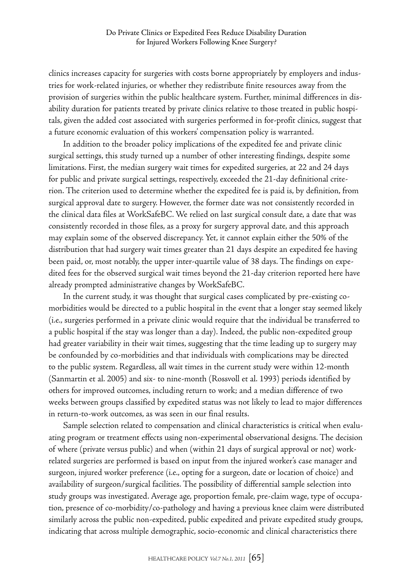clinics increases capacity for surgeries with costs borne appropriately by employers and industries for work-related injuries, or whether they redistribute finite resources away from the provision of surgeries within the public healthcare system. Further, minimal differences in disability duration for patients treated by private clinics relative to those treated in public hospitals, given the added cost associated with surgeries performed in for-profit clinics, suggest that a future economic evaluation of this workers' compensation policy is warranted.

In addition to the broader policy implications of the expedited fee and private clinic surgical settings, this study turned up a number of other interesting findings, despite some limitations. First, the median surgery wait times for expedited surgeries, at 22 and 24 days for public and private surgical settings, respectively, exceeded the 21-day definitional criterion. The criterion used to determine whether the expedited fee is paid is, by definition, from surgical approval date to surgery. However, the former date was not consistently recorded in the clinical data files at WorkSafeBC. We relied on last surgical consult date, a date that was consistently recorded in those files, as a proxy for surgery approval date, and this approach may explain some of the observed discrepancy. Yet, it cannot explain either the 50% of the distribution that had surgery wait times greater than 21 days despite an expedited fee having been paid, or, most notably, the upper inter-quartile value of 38 days. The findings on expedited fees for the observed surgical wait times beyond the 21-day criterion reported here have already prompted administrative changes by WorkSafeBC.

In the current study, it was thought that surgical cases complicated by pre-existing comorbidities would be directed to a public hospital in the event that a longer stay seemed likely (i.e., surgeries performed in a private clinic would require that the individual be transferred to a public hospital if the stay was longer than a day). Indeed, the public non-expedited group had greater variability in their wait times, suggesting that the time leading up to surgery may be confounded by co-morbidities and that individuals with complications may be directed to the public system. Regardless, all wait times in the current study were within 12-month (Sanmartin et al. 2005) and six- to nine-month (Rossvoll et al. 1993) periods identified by others for improved outcomes, including return to work; and a median difference of two weeks between groups classified by expedited status was not likely to lead to major differences in return-to-work outcomes, as was seen in our final results.

Sample selection related to compensation and clinical characteristics is critical when evaluating program or treatment effects using non-experimental observational designs. The decision of where (private versus public) and when (within 21 days of surgical approval or not) workrelated surgeries are performed is based on input from the injured worker's case manager and surgeon, injured worker preference (i.e., opting for a surgeon, date or location of choice) and availability of surgeon/surgical facilities. The possibility of differential sample selection into study groups was investigated. Average age, proportion female, pre-claim wage, type of occupation, presence of co-morbidity/co-pathology and having a previous knee claim were distributed similarly across the public non-expedited, public expedited and private expedited study groups, indicating that across multiple demographic, socio-economic and clinical characteristics there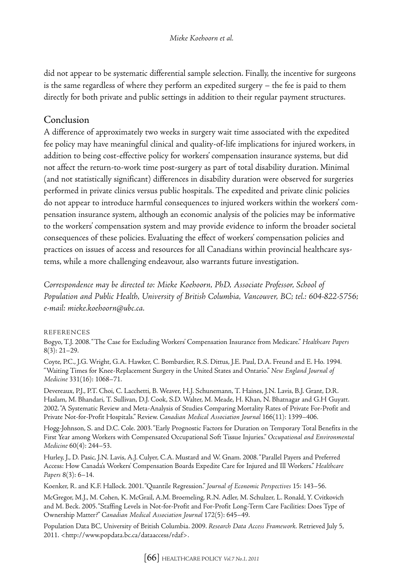did not appear to be systematic differential sample selection. Finally, the incentive for surgeons is the same regardless of where they perform an expedited surgery – the fee is paid to them directly for both private and public settings in addition to their regular payment structures.

# Conclusion

A difference of approximately two weeks in surgery wait time associated with the expedited fee policy may have meaningful clinical and quality-of-life implications for injured workers, in addition to being cost-effective policy for workers' compensation insurance systems, but did not affect the return-to-work time post-surgery as part of total disability duration. Minimal (and not statistically significant) differences in disability duration were observed for surgeries performed in private clinics versus public hospitals. The expedited and private clinic policies do not appear to introduce harmful consequences to injured workers within the workers' compensation insurance system, although an economic analysis of the policies may be informative to the workers' compensation system and may provide evidence to inform the broader societal consequences of these policies. Evaluating the effect of workers' compensation policies and practices on issues of access and resources for all Canadians within provincial healthcare systems, while a more challenging endeavour, also warrants future investigation.

*Correspondence may be directed to: Mieke Koehoorn, PhD, Associate Professor, School of Population and Public Health, University of British Columbia, Vancouver, BC; tel.: 604-822-5756; e-mail: mieke.koehoorn@ubc.ca.*

#### References

Bogyo, T.J. 2008. "The Case for Excluding Workers' Compensation Insurance from Medicare." *Healthcare Papers* 8(3): 21–29.

Coyte, P.C., J.G. Wright, G.A. Hawker, C. Bombardier, R.S. Dittus, J.E. Paul, D.A. Freund and E. Ho. 1994. "Waiting Times for Knee-Replacement Surgery in the United States and Ontario." *New England Journal of Medicine* 331(16): 1068–71.

Devereaux, P.J., P.T. Choi, C. Lacchetti, B. Weaver, H.J. Schunemann, T. Haines, J.N. Lavis, B.J. Grant, D.R. Haslam, M. Bhandari, T. Sullivan, D.J. Cook, S.D. Walter, M. Meade, H. Khan, N. Bhatnagar and G.H Guyatt. 2002. "A Systematic Review and Meta-Analysis of Studies Comparing Mortality Rates of Private For-Profit and Private Not-for-Profit Hospitals." Review. *Canadian Medical Association Journal* 166(11): 1399–406.

Hogg-Johnson, S. and D.C. Cole. 2003. "Early Prognostic Factors for Duration on Temporary Total Benefits in the First Year among Workers with Compensated Occupational Soft Tissue Injuries." *Occupational and Environmental Medicine* 60(4): 244–53.

Hurley, J., D. Pasic, J.N. Lavis, A.J. Culyer, C.A. Mustard and W. Gnam. 2008. "Parallel Payers and Preferred Access: How Canada's Workers' Compensation Boards Expedite Care for Injured and Ill Workers." *Healthcare Papers* 8(3): 6–14.

Koenker, R. and K.F. Hallock. 2001. "Quantile Regression." *Journal of Economic Perspectives* 15: 143–56.

McGregor, M.J., M. Cohen, K. McGrail, A.M. Broemeling, R.N. Adler, M. Schulzer, L. Ronald, Y. Cvitkovich and M. Beck. 2005. "Staffing Levels in Not-for-Profit and For-Profit Long-Term Care Facilities: Does Type of Ownership Matter?" *Canadian Medical Association Journal* 172(5): 645–49.

Population Data BC, University of British Columbia. 2009. *Research Data Access Framework.* Retrieved July 5, 2011. <http://www.popdata.bc.ca/dataaccess/rdaf>.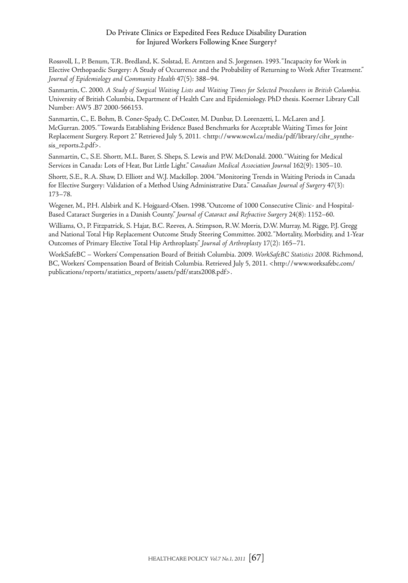#### Do Private Clinics or Expedited Fees Reduce Disability Duration for Injured Workers Following Knee Surgery?

Rossvoll, I., P. Benum, T.R. Bredland, K. Solstad, E. Arntzen and S. Jorgensen. 1993. "Incapacity for Work in Elective Orthopaedic Surgery: A Study of Occurrence and the Probability of Returning to Work After Treatment." *Journal of Epidemiology and Community Health* 47(5): 388–94.

Sanmartin, C. 2000. *A Study of Surgical Waiting Lists and Waiting Times for Selected Procedures in British Columbia.* University of British Columbia, Department of Health Care and Epidemiology. PhD thesis. Koerner Library Call Number: AW5 .B7 2000-566153.

Sanmartin, C., E. Bohm, B. Coner-Spady, C. DeCoster, M. Dunbar, D. Lorenzetti, L. McLaren and J. McGurran. 2005. "Towards Establishing Evidence Based Benchmarks for Acceptable Waiting Times for Joint Replacement Surgery. Report 2." Retrieved July 5, 2011. <http://www.wcwl.ca/media/pdf/library/cihr\_synthesis\_reports.2.pdf>.

Sanmartin, C., S.E. Shortt, M.L. Barer, S. Sheps, S. Lewis and P.W. McDonald. 2000. "Waiting for Medical Services in Canada: Lots of Heat, But Little Light." *Canadian Medical Association Journal* 162(9): 1305–10.

Shortt, S.E., R.A. Shaw, D. Elliott and W.J. Mackillop. 2004. "Monitoring Trends in Waiting Periods in Canada for Elective Surgery: Validation of a Method Using Administrative Data." *Canadian Journal of Surgery* 47(3): 173–78.

Wegener, M., P.H. Alsbirk and K. Hojgaard-Olsen. 1998. "Outcome of 1000 Consecutive Clinic- and Hospital-Based Cataract Surgeries in a Danish County." *Journal of Cataract and Refractive Surgery* 24(8): 1152–60.

Williams, O., P. Fitzpatrick, S. Hajat, B.C. Reeves, A. Stimpson, R.W. Morris, D.W. Murray, M. Rigge, P.J. Gregg and National Total Hip Replacement Outcome Study Steering Committee. 2002. "Mortality, Morbidity, and 1-Year Outcomes of Primary Elective Total Hip Arthroplasty." *Journal of Arthroplasty* 17(2): 165–71.

WorkSafeBC – Workers' Compensation Board of British Columbia. 2009. *WorkSafeBC Statistics 2008.* Richmond, BC, Workers' Compensation Board of British Columbia. Retrieved July 5, 2011. <http://www.worksafebc.com/ publications/reports/statistics\_reports/assets/pdf/stats2008.pdf>.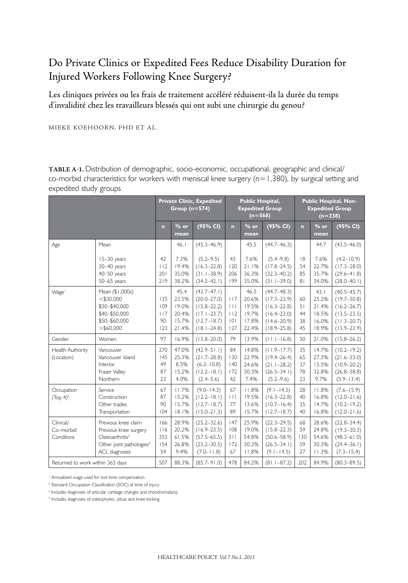# Do Private Clinics or Expedited Fees Reduce Disability Duration for Injured Workers Following Knee Surgery?

Les cliniques privées ou les frais de traitement accéléré réduisent-ils la durée du temps d'invalidité chez les travailleurs blessés qui ont subi une chirurgie du genou?

Mieke Koehoorn, PhD et al .

**Table A-1.** Distribution of demographic, socio-economic, occupational, geographic and clinical/ co-morbid characteristics for workers with meniscal knee surgery ( $n=1,380$ ), by surgical setting and expedited study groups

|                                                                         |                                                                                                                                      |                                       | Group $(n=574)$                                   | <b>Private Clinic, Expedited</b>                                                                               | <b>Public Hospital,</b><br><b>Expedited Group</b><br>$(n=568)$ |                                                    | Public Hospital, Non-<br><b>Expedited Group</b><br>$(n=238)$                                                   |                                    |                                                    |                                                                                                                |
|-------------------------------------------------------------------------|--------------------------------------------------------------------------------------------------------------------------------------|---------------------------------------|---------------------------------------------------|----------------------------------------------------------------------------------------------------------------|----------------------------------------------------------------|----------------------------------------------------|----------------------------------------------------------------------------------------------------------------|------------------------------------|----------------------------------------------------|----------------------------------------------------------------------------------------------------------------|
|                                                                         |                                                                                                                                      | n                                     | $%$ or<br>mean                                    | (95% CI)                                                                                                       | n                                                              | $%$ or<br>mean                                     | (95% CI)                                                                                                       | n                                  | $%$ or<br>mean                                     | (95% CI)                                                                                                       |
| Age                                                                     | Mean                                                                                                                                 |                                       | 46.1                                              | $(45.3 - 46.9)$                                                                                                |                                                                | 45.5                                               | $(44.7 - 46.3)$                                                                                                |                                    | 44.7                                               | $(43.5 - 46.0)$                                                                                                |
|                                                                         | 15-30 years<br>30-40 years<br>40-50 years<br>$50-65$ years                                                                           | 42<br>112<br>201<br>219               | 7.3%<br>19.4%<br>35.0%<br>38.2%                   | $(5.2 - 9.5)$<br>$(16.3 - 22.8)$<br>$(31.1 - 38.9)$<br>$(34.2 - 42.1)$                                         | 43<br>120<br>206<br>199                                        | 7.6%<br>21.1%<br>36.3%<br>35.0%                    | $(5.4 - 9.8)$<br>$(17.8 - 24.5)$<br>$(32.3 - 40.2)$<br>$(31.1 - 39.0)$                                         | 8<br>54<br>85<br>8 <sub>1</sub>    | 7.6%<br>22.7%<br>35.7%<br>34.0%                    | $(4.2 - 10.9)$<br>$(17.3 - 28.0)$<br>$(29.6 - 41.8)$<br>$(28.0 - 40.1)$                                        |
| Wage <sup>1</sup>                                                       | Mean (\$1,000s)<br>$<$ \$30,000<br>\$30-\$40,000<br>\$40-\$50,000<br>\$50-\$60,000<br>$>$ \$60,000                                   | 135<br>109<br>117<br>90<br>123        | 45.4<br>23.5%<br>19.0%<br>20.4%<br>15.7%<br>21.4% | $(43.7 - 47.1)$<br>$(20.0 - 27.0)$<br>$(15.8 - 22.2)$<br>$(17.1 - 23.7)$<br>$(12.7 - 18.7)$<br>$(18.1 - 24.8)$ | 117<br>111<br>112<br> 0 <br>127                                | 46.5<br>20.6%<br>19.5%<br>19.7%<br>17.8%<br>22.4%  | $(44.7 - 48.3)$<br>$(17.3 - 23.9)$<br>$(16.3 - 22.8)$<br>$(16.4 - 23.0)$<br>$(14.6 - 20.9)$<br>$(18.9 - 25.8)$ | 60<br>51<br>44<br>38<br>45         | 43.1<br>25.2%<br>21.4%<br>18.5%<br>16.0%<br>18.9%  | $(40.5 - 45.7)$<br>$(19.7 - 30.8)$<br>$(16.2 - 26.7)$<br>$(13.5 - 23.5)$<br>$(11.3 - 20.7)$<br>$(13.9 - 23.9)$ |
| Gender                                                                  | Women                                                                                                                                | 97                                    | 16.9%                                             | $(13.8 - 20.0)$                                                                                                | 79                                                             | 13.9%                                              | $(11.1 - 16.8)$                                                                                                | 50                                 | 21.0%                                              | $(15.8 - 26.2)$                                                                                                |
| Health Authority<br>(Location)                                          | Vancouver<br>Vancouver Island<br>Interior<br>Fraser Valley<br>Northern                                                               | 270<br>145<br>49<br>87<br>23          | 47.0%<br>25.3%<br>8.5%<br>15.2%<br>4.0%           | $(42.9 - 51.1)$<br>$(21.7 - 28.8)$<br>$(6.2 - 10.8)$<br>$(12.2 - 18.1)$<br>$(2.4 - 5.6)$                       | 84<br>130<br> 40<br>172<br>42                                  | 14.8%<br>22.9%<br>24.6%<br>30.3%<br>7.4%           | $(11.9 - 17.7)$<br>$(19.4 - 26.4)$<br>$(21.1 - 28.2)$<br>$(26.5 - 34.1)$<br>$(5.2 - 9.6)$                      | 35<br>65<br>37<br>78<br>23         | 14.7%<br>27.3%<br>15.5%<br>32.8%<br>9.7%           | $(10.2 - 19.2)$<br>$(21.6 - 33.0)$<br>$(10.9 - 20.2)$<br>$(26.8 - 38.8)$<br>$(5.9 - 13.4)$                     |
| Occupation<br>(Top 4) <sup>2</sup>                                      | Service<br>Construction<br>Other trades<br>Transportation                                                                            | 67<br>87<br>90<br>104                 | 11.7%<br>15.2%<br>15.7%<br>18.1%                  | $(9.0 - 14.3)$<br>$(12.2 - 18.1)$<br>$(12.7 - 18.7)$<br>$(15.0 - 21.3)$                                        | 67<br>   <br>77<br>89                                          | 11.8%<br>19.5%<br>13.6%<br>15.7%                   | $(9.1 - 14.5)$<br>$(16.3 - 22.8)$<br>$(10.7 - 16.4)$<br>$(12.7 - 18.7)$                                        | 28<br>40<br>35<br>40               | 11.8%<br>16.8%<br>14.7%<br>16.8%                   | $(7.6 - 15.9)$<br>$(12.0 - 21.6)$<br>$(10.2 - 19.2)$<br>$(12.0 - 21.6)$                                        |
| Clinical/<br>Co-morbid<br>Conditons<br>Returned to work within 365 days | Previous knee claim<br>Previous knee surgery<br>Osteoarthritis <sup>3</sup><br>Other joint pathologies <sup>4</sup><br>ACL diagnoses | 166<br>116<br>353<br>154<br>54<br>507 | 28.9%<br>20.2%<br>61.5%<br>26.8%<br>9.4%<br>88.3% | $(25.2 - 32.6)$<br>$(16.9 - 23.5)$<br>$(57.5 - 65.5)$<br>$(23.2 - 30.5)$<br>$(7.0 - 11.8)$<br>$(85.7 - 91.0)$  | 147<br>108<br>311<br>172<br>67<br>478                          | 25.9%<br>19.0%<br>54.8%<br>30.3%<br>11.8%<br>84.2% | $(22.3 - 29.5)$<br>$(15.8 - 22.3)$<br>$(50.6 - 58.9)$<br>$(26.5 - 34.1)$<br>$(9.1 - 14.5)$<br>$(81.1 - 87.2)$  | 68<br>59<br>130<br>59<br>27<br>202 | 28.6%<br>24.8%<br>54.6%<br>30.3%<br>11.3%<br>84.9% | $(22.8 - 34.4)$<br>$(19.3 - 30.3)$<br>$(48.3 - 61.0)$<br>$(24.4 - 36.1)$<br>$(7.3 - 15.4)$<br>$(80.3 - 89.5)$  |

1 Annualized wage used for lost-time compensation.

<sup>2</sup> Standard Occupation Classification (SOC) at time of injury.

<sup>3</sup> Includes diagnoses of articular cartilage changes and chondromalacia.

4 Includes diagnoses of osteophytes, plicas and knee-locking.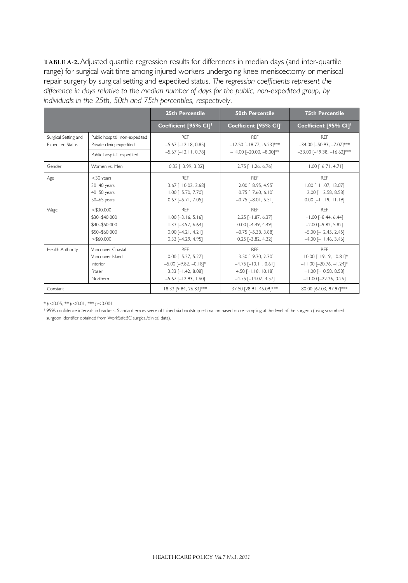**Table A-2.** Adjusted quantile regression results for differences in median days (and inter-quartile range) for surgical wait time among injured workers undergoing knee meniscectomy or meniscal repair surgery by surgical setting and expedited status. *The regression coefficients represent the difference in days relative to the median number of days for the public, non-expedited group, by individuals in the 25th, 50th and 75th percentiles, respectively.*

|                                                 |                                                                               | <b>25th Percentile</b>                                                                                                       | <b>50th Percentile</b>                                                                                                          | <b>75th Percentile</b>                                                                                                                  |
|-------------------------------------------------|-------------------------------------------------------------------------------|------------------------------------------------------------------------------------------------------------------------------|---------------------------------------------------------------------------------------------------------------------------------|-----------------------------------------------------------------------------------------------------------------------------------------|
|                                                 |                                                                               | Coefficient [95% CI]'                                                                                                        | Coefficient [95% CI] <sup>1</sup>                                                                                               | Coefficient [95% CI] <sup>1</sup>                                                                                                       |
| Surgical Setting and<br><b>Expedited Status</b> | Public hospital; non-expedited<br>Private clinic; expedited                   | <b>RFF</b><br>$-5.67$ [ $-12.18$ , 0.85]<br>$-5.67$ [ $-12.11$ , 0.78]                                                       | <b>RFF</b><br>$-12.50$ [ $-18.77, -6.23$ ]***<br>$-14.00$ [-20.00, -8.00]**                                                     | <b>RFF</b><br>$-34.00$ [ $-50.93$ , $-7.07$ ]***<br>$-33.00$ [ $-49.38$ , $-16.62$ ]***                                                 |
|                                                 | Public hospital; expedited                                                    |                                                                                                                              |                                                                                                                                 |                                                                                                                                         |
| Gender                                          | Women vs. Men                                                                 | $-0.33$ [ $-3.99$ , 3.32]                                                                                                    | $2.75$ [-1.26, 6.76]                                                                                                            | $-1.00$ [-6.71, 4.71]                                                                                                                   |
| Age                                             | $<$ 30 years<br>30-40 years<br>40-50 years<br>50-65 years                     | <b>RFF</b><br>$-3.67$ [ $-10.02$ , 2.68]<br>$1.00$ [-5.70, 7.70]<br>$0.67$ [-5.71, 7.05]                                     | <b>RFF</b><br>$-2.00$ [ $-8.95$ , 4.95]<br>$-0.75$ [ $-7.60$ , 6.10]<br>$-0.75$ [ $-8.01$ , 6.51]                               | <b>RFF</b><br>$1.00$ [ $-11.07$ , 13.07]<br>$-2.00$ [ $-12.58$ , 8.58]<br>$0.00$ [-11.19, 11.19]                                        |
| Wage                                            | $<$ \$30.000<br>\$30-\$40,000<br>\$40-\$50,000<br>\$50-\$60,000<br>> \$60.000 | <b>RFF</b><br>$1.00$ [-3.16, 5.16]<br>$1.33$ [-3.97, 6.64]<br>$0.00$ [-4.21, 4.21]<br>$0.33$ [ $-4.29$ , $4.95$ ]            | <b>RFF</b><br>$2.25$ [-1.87, 6.37]<br>$0.00$ $[-4.49, 4.49]$<br>$-0.75$ [ $-5.38$ , 3.88]<br>$0.25$ [-3.82, 4.32]               | <b>RFF</b><br>$-1.00$ [ $-8.44$ , 6.44]<br>$-2.00$ [ $-9.82, 5.82$ ]<br>$-5.00$ [ $-12.45$ , 2.45]<br>$-4.00$ [ $-11.46$ , 3.46]        |
| Health Authority                                | Vancouver Coastal<br>Vancouver Island<br>Interior<br>Fraser<br>Northern       | <b>RFF</b><br>$0.00$ $[-5.27, 5.27]$<br>$-5.00$ [ $-9.82$ , $-0.18$ ]*<br>$3.33$ [-1.42, 8.08]<br>$-5.67$ [ $-12.93$ , 1.60] | <b>RFF</b><br>$-3.50$ [ $-9.30$ , 2.30]<br>$-4.75$ [ $-10.11$ , 0.61]<br>$4.50$ [-1.18, 10.18]<br>$-4.75$ [ $-14.07$ , $4.57$ ] | <b>REF</b><br>$-10.00$ [ $-19.19$ , $-0.81$ ]*<br>$-11.00$ [-20.76, $-1.24$ ]*<br>$-1.00$ [ $-10.58$ , 8.58]<br>$-11.00$ [-22.26, 0.26] |
| Constant                                        |                                                                               | 18.33 [9.84, 26.83]***                                                                                                       | 37.50 [28.91, 46.09]***                                                                                                         | 80.00 [62.03, 97.97]***                                                                                                                 |

\* *p*<0.05, \*\* *p*<0.01, \*\*\* *p*<0.001

<sup>1</sup> 95% confidence intervals in brackets. Standard errors were obtained via bootstrap estimation based on re-sampling at the level of the surgeon (using scrambled surgeon identifier obtained from WorkSafeBC surgical/clinical data).